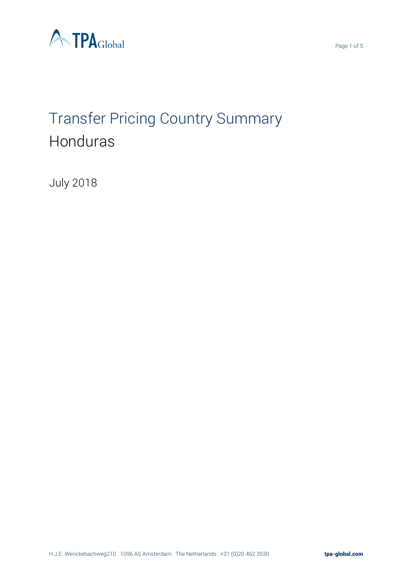

# Transfer Pricing Country Summary Honduras

July 2018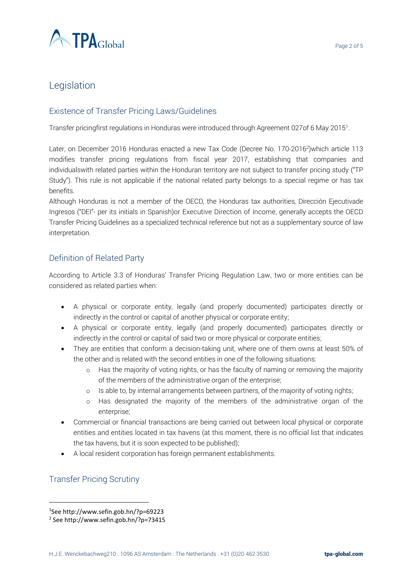

## Legislation

#### Existence of Transfer Pricing Laws/Guidelines

Transfer pricingfirst regulations in Honduras were introduced through Agreement 027of 6 May 2015<sup>1</sup>.

Later, on December 2016 Honduras enacted a new Tax Code (Decree No. 170-2016<sup>2</sup> )which article 113 modifies transfer pricing regulations from fiscal year 2017, establishing that companies and individualswith related parties within the Honduran territory are not subject to transfer pricing study ("TP Study"). This rule is not applicable if the national related party belongs to a special regime or has tax benefits.

Although Honduras is not a member of the OECD, the Honduras tax authorities*,* Dirección Ejecutivade Ingresos ("DEI"- per its initials in Spanish)or Executive Direction of Income, generally accepts the OECD Transfer Pricing Guidelines as a specialized technical reference but not as a supplementary source of law interpretation.

#### Definition of Related Party

According to Article 3.3 of Honduras' Transfer Pricing Regulation Law, two or more entities can be considered as related parties when:

- A physical or corporate entity, legally (and properly documented) participates directly or indirectly in the control or capital of another physical or corporate entity;
- A physical or corporate entity, legally (and properly documented) participates directly or indirectly in the control or capital of said two or more physical or corporate entities;
- They are entities that conform a decision-taking unit, where one of them owns at least 50% of the other and is related with the second entities in one of the following situations:
	- o Has the majority of voting rights, or has the faculty of naming or removing the majority of the members of the administrative organ of the enterprise;
	- $\circ$  Is able to, by internal arrangements between partners, of the majority of voting rights;
	- o Has designated the majority of the members of the administrative organ of the enterprise;
- Commercial or financial transactions are being carried out between local physical or corporate entities and entities located in tax havens (at this moment, there is no official list that indicates the tax havens, but it is soon expected to be published);
- A local resident corporation has foreign permanent establishments.

#### Transfer Pricing Scrutiny

 $\overline{a}$ 

<sup>1</sup> See http://www.sefin.gob.hn/?p=69223

<sup>2</sup> See http://www.sefin.gob.hn/?p=73415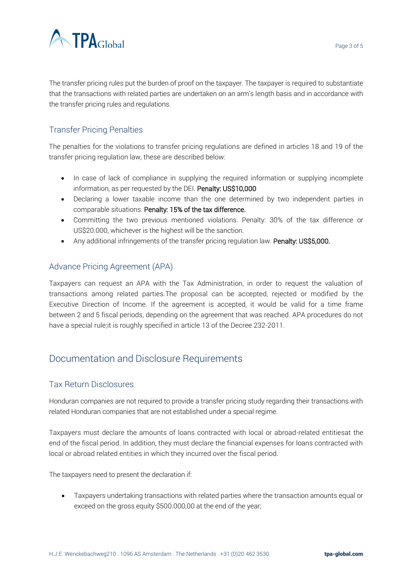

The transfer pricing rules put the burden of proof on the taxpayer. The taxpayer is required to substantiate that the transactions with related parties are undertaken on an arm's length basis and in accordance with the transfer pricing rules and regulations.

### Transfer Pricing Penalties

The penalties for the violations to transfer pricing regulations are defined in articles 18 and 19 of the transfer pricing regulation law, these are described below:

- In case of lack of compliance in supplying the required information or supplying incomplete information, as per requested by the DEI. Penalty: US\$10,000
- Declaring a lower taxable income than the one determined by two independent parties in comparable situations. Penalty: 15% of the tax difference.
- Committing the two previous mentioned violations. Penalty: 30% of the tax difference or US\$20.000, whichever is the highest will be the sanction.
- Any additional infringements of the transfer pricing regulation law. Penalty: US\$5,000.

#### Advance Pricing Agreement (APA)

Taxpayers can request an APA with the Tax Administration, in order to request the valuation of transactions among related parties.The proposal can be accepted, rejected or modified by the Executive Direction of Income. If the agreement is accepted, it would be valid for a time frame between 2 and 5 fiscal periods, depending on the agreement that was reached. APA procedures do not have a special rule;it is roughly specified in article 13 of the Decree 232-2011.

# Documentation and Disclosure Requirements

#### Tax Return Disclosures

Honduran companies are not required to provide a transfer pricing study regarding their transactions with related Honduran companies that are not established under a special regime.

Taxpayers must declare the amounts of loans contracted with local or abroad-related entitiesat the end of the fiscal period. In addition, they must declare the financial expenses for loans contracted with local or abroad related entities in which they incurred over the fiscal period.

The taxpayers need to present the declaration if:

• Taxpayers undertaking transactions with related parties where the transaction amounts equal or exceed on the gross equity \$500.000,00 at the end of the year;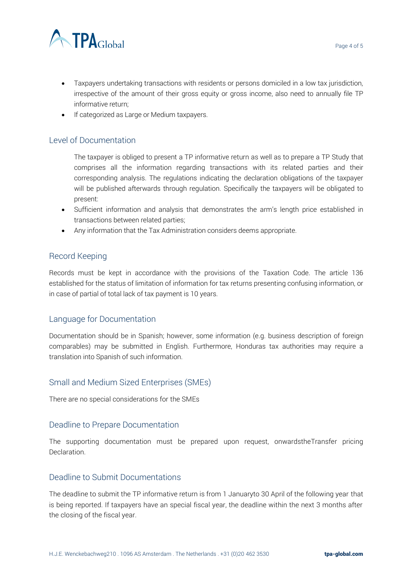

- Taxpayers undertaking transactions with residents or persons domiciled in a low tax jurisdiction, irrespective of the amount of their gross equity or gross income, also need to annually file TP informative return;
- If categorized as Large or Medium taxpayers.

#### Level of Documentation

The taxpayer is obliged to present a TP informative return as well as to prepare a TP Study that comprises all the information regarding transactions with its related parties and their corresponding analysis. The regulations indicating the declaration obligations of the taxpayer will be published afterwards through regulation. Specifically the taxpayers will be obligated to present:

- Sufficient information and analysis that demonstrates the arm's length price established in transactions between related parties;
- Any information that the Tax Administration considers deems appropriate.

#### Record Keeping

Records must be kept in accordance with the provisions of the Taxation Code. The article 136 established for the status of limitation of information for tax returns presenting confusing information, or in case of partial of total lack of tax payment is 10 years.

#### Language for Documentation

Documentation should be in Spanish; however, some information (e.g. business description of foreign comparables) may be submitted in English. Furthermore, Honduras tax authorities may require a translation into Spanish of such information.

#### Small and Medium Sized Enterprises (SMEs)

There are no special considerations for the SMEs

#### Deadline to Prepare Documentation

The supporting documentation must be prepared upon request, onwardstheTransfer pricing Declaration.

#### Deadline to Submit Documentations

The deadline to submit the TP informative return is from 1 Januaryto 30 April of the following year that is being reported. If taxpayers have an special fiscal year, the deadline within the next 3 months after the closing of the fiscal year.